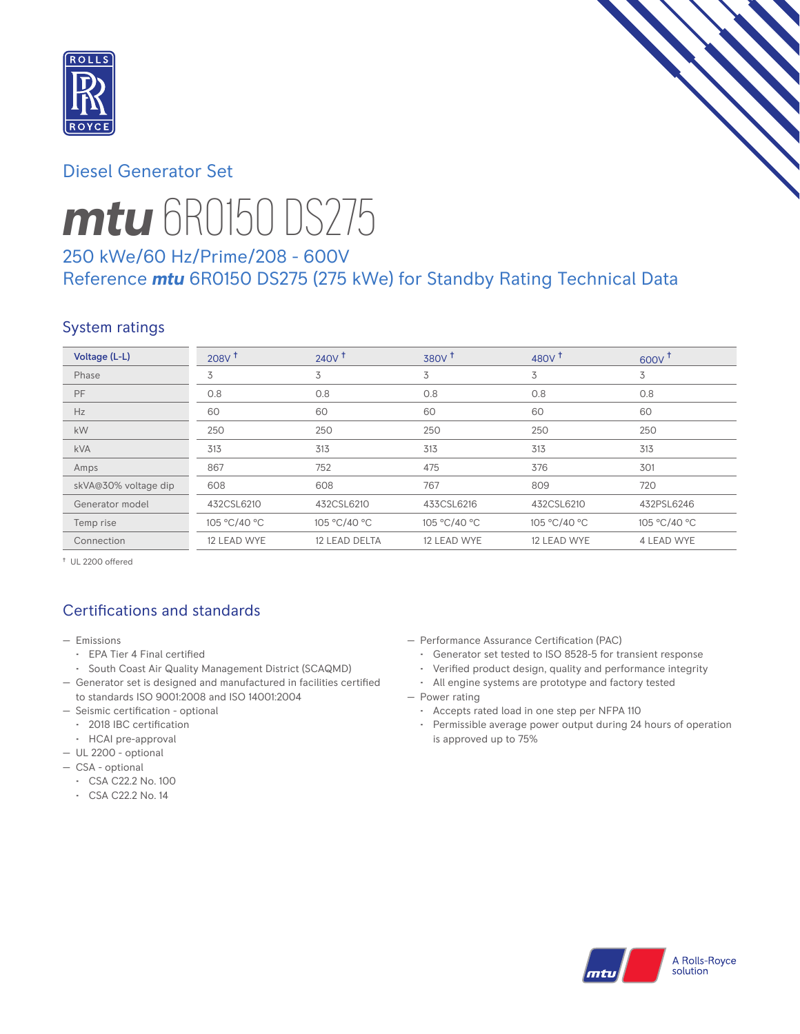

## Diesel Generator Set



# *mtu* 6R0150 DS275

# 250 kWe/60 Hz/Prime/208 - 600V Reference *mtu* 6R0150 DS275 (275 kWe) for Standby Rating Technical Data

# System ratings

| Voltage (L-L)        | 208V <sup>†</sup> | 240V <sup>†</sup> | 380V <sup>†</sup> | 480 $V†$     | 600V         |
|----------------------|-------------------|-------------------|-------------------|--------------|--------------|
| Phase                | 3                 | 3                 | 3                 | 3            | 3            |
| PF                   | 0.8               | 0.8               | 0.8               | 0.8          | 0.8          |
| Hz                   | 60                | 60                | 60                | 60           | 60           |
| kW                   | 250               | 250               | 250               | 250          | 250          |
| <b>kVA</b>           | 313               | 313               | 313               | 313          | 313          |
| Amps                 | 867               | 752               | 475               | 376          | 301          |
| skVA@30% voltage dip | 608               | 608               | 767               | 809          | 720          |
| Generator model      | 432CSL6210        | 432CSL6210        | 433CSL6216        | 432CSL6210   | 432PSL6246   |
| Temp rise            | 105 °C/40 °C      | 105 °C/40 °C      | 105 °C/40 °C      | 105 °C/40 °C | 105 °C/40 °C |
| Connection           | 12 LEAD WYE       | 12 LEAD DELTA     | 12 LEAD WYE       | 12 LEAD WYE  | 4 LEAD WYE   |

† UL 2200 offered

## Certifications and standards

- Emissions
	- EPA Tier 4 Final certified
- South Coast Air Quality Management District (SCAQMD)
- Generator set is designed and manufactured in facilities certified to standards ISO 9001:2008 and ISO 14001:2004
- Seismic certification optional
- 2018 IBC certification
- HCAI pre-approval
- UL 2200 optional
- CSA optional
	- CSA C22.2 No. 100
	- CSA C22.2 No. 14
- Performance Assurance Certification (PAC)
	- Generator set tested to ISO 8528-5 for transient response
- Verified product design, quality and performance integrity
- All engine systems are prototype and factory tested
- Power rating
	- Accepts rated load in one step per NFPA 110
	- Permissible average power output during 24 hours of operation is approved up to 75%

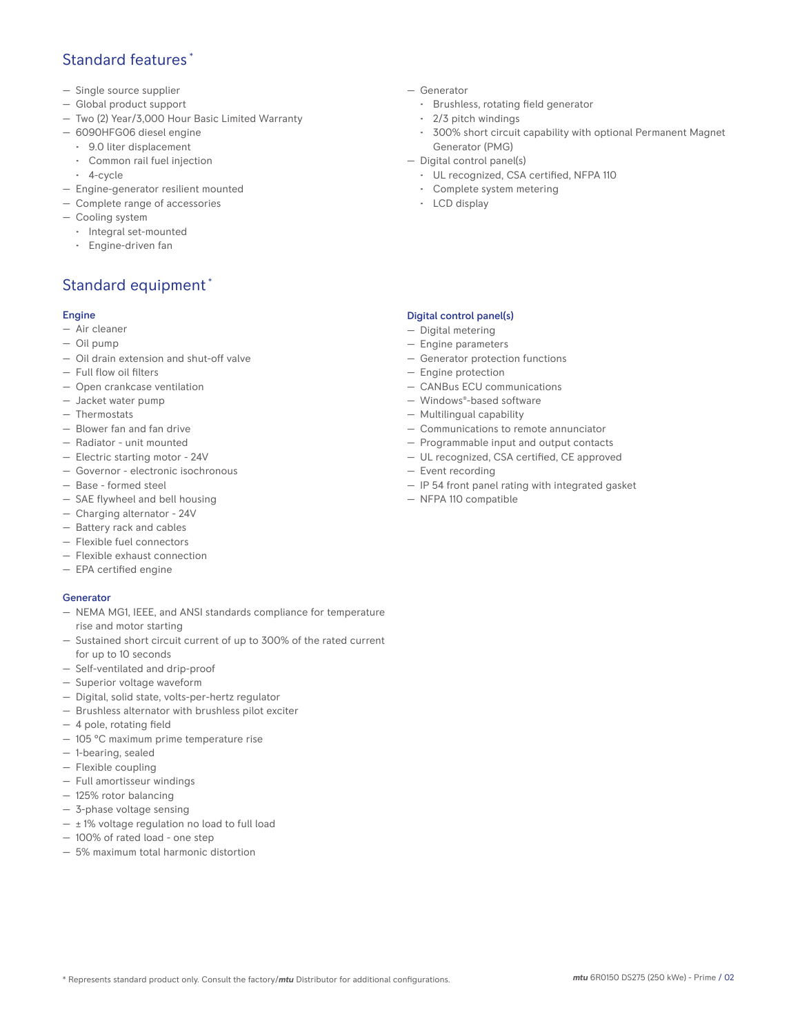## Standard features \*

- Single source supplier
- Global product support
- Two (2) Year/3,000 Hour Basic Limited Warranty
- 6090HFG06 diesel engine
	- 9.0 liter displacement
	- Common rail fuel injection
	- 4-cycle
- Engine-generator resilient mounted
- Complete range of accessories
- Cooling system
- Integral set-mounted
	- Engine-driven fan

# Standard equipment \*

#### Engine

- Air cleaner
- Oil pump
- Oil drain extension and shut-off valve
- Full flow oil filters
- Open crankcase ventilation
- Jacket water pump
- Thermostats
- Blower fan and fan drive
- Radiator unit mounted
- Electric starting motor 24V
- Governor electronic isochronous
- Base formed steel
- SAE flywheel and bell housing
- Charging alternator 24V
- Battery rack and cables
- Flexible fuel connectors
- Flexible exhaust connection
- EPA certified engine

#### **Generator**

- NEMA MG1, IEEE, and ANSI standards compliance for temperature rise and motor starting
- Sustained short circuit current of up to 300% of the rated current for up to 10 seconds
- Self-ventilated and drip-proof
- Superior voltage waveform
- Digital, solid state, volts-per-hertz regulator
- Brushless alternator with brushless pilot exciter
- 4 pole, rotating field
- 105 °C maximum prime temperature rise
- 1-bearing, sealed
- Flexible coupling
- Full amortisseur windings
- 125% rotor balancing
- 3-phase voltage sensing
- $\pm$  1% voltage regulation no load to full load
- 100% of rated load one step
- 5% maximum total harmonic distortion
- Generator
	- Brushless, rotating field generator
	- 2/3 pitch windings
	- 300% short circuit capability with optional Permanent Magnet Generator (PMG)
- Digital control panel(s)
	- UL recognized, CSA certified, NFPA 110
	- Complete system metering
	- LCD display

#### Digital control panel(s)

- Digital metering
- Engine parameters
- Generator protection functions
- Engine protection
- CANBus ECU communications
- Windows®-based software
- Multilingual capability
- Communications to remote annunciator
- Programmable input and output contacts
- UL recognized, CSA certified, CE approved
- Event recording
- IP 54 front panel rating with integrated gasket
- NFPA 110 compatible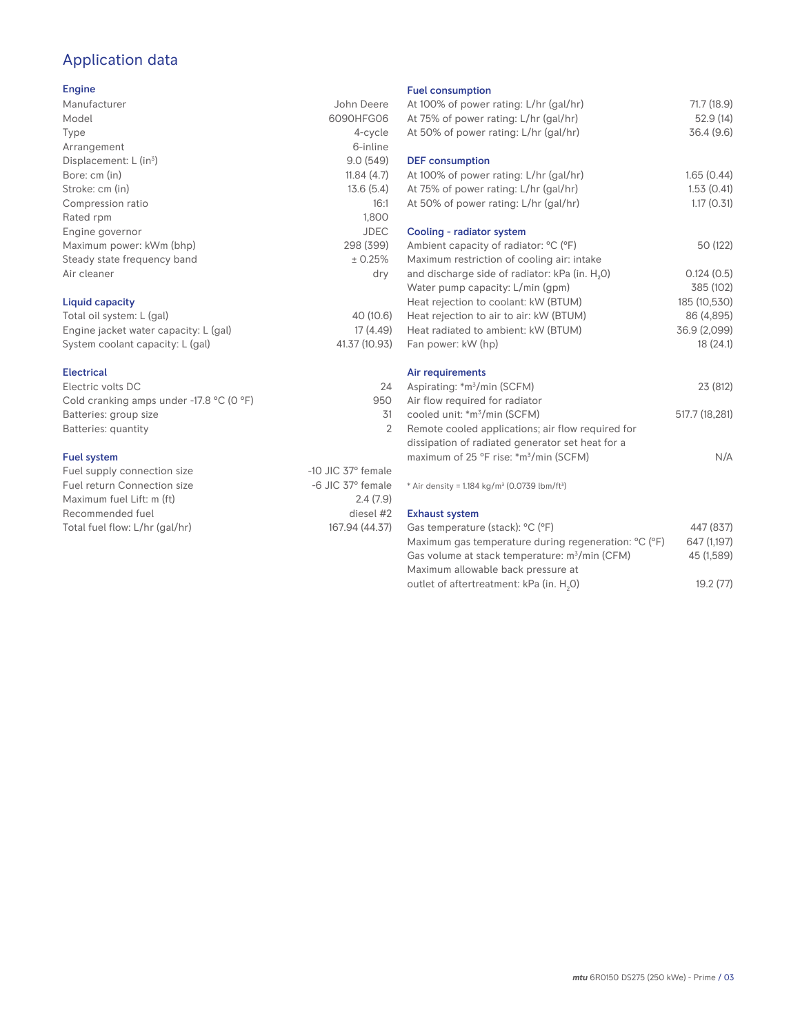# Application data

#### Engine

| Manufacturer                | John Deere  |
|-----------------------------|-------------|
|                             |             |
| Model                       | 6090HFG06   |
| Type                        | 4-cycle     |
| Arrangement                 | 6-inline    |
| Displacement: $L (in3)$     | 9.0(549)    |
| Bore: cm (in)               | 11.84(4.7)  |
| Stroke: cm (in)             | 13.6(5.4)   |
| Compression ratio           | 16:1        |
| Rated rpm                   | 1.800       |
| Engine governor             | <b>JDEC</b> |
| Maximum power: kWm (bhp)    | 298 (399)   |
| Steady state frequency band | ± 0.25%     |
| Air cleaner                 | dry         |
|                             |             |
|                             |             |

#### Liquid capacity

| Total oil system: L (gal)             | 40 (10.6)     |
|---------------------------------------|---------------|
| Engine jacket water capacity: L (gal) | 17 (4.49)     |
| System coolant capacity: L (gal)      | 41.37 (10.93) |

#### Electrical

| Electric volts DC                                            | 24  |
|--------------------------------------------------------------|-----|
| Cold cranking amps under -17.8 $^{\circ}$ C (O $^{\circ}$ F) | 950 |
| Batteries: group size                                        | 31  |
| Batteries: quantity                                          |     |
|                                                              |     |

#### Fuel system

| Fuel supply connection size    | $-10$ JIC 37 $\degree$ female |
|--------------------------------|-------------------------------|
| Fuel return Connection size    | $-6$ JIC 37 $^{\circ}$ female |
| Maximum fuel Lift: m (ft)      | 2.4(7.9)                      |
| Recommended fuel               | diesel #2                     |
| Total fuel flow: L/hr (gal/hr) | 167.94 (44.37)                |
|                                |                               |

#### Fuel consumption

| At 100% of power rating: L/hr (gal/hr)<br>At 75% of power rating: L/hr (gal/hr)<br>At 50% of power rating: L/hr (gal/hr)                                                                                                                                                                     | 71.7 (18.9)<br>52.9(14)<br>36.4(9.6)                                              |
|----------------------------------------------------------------------------------------------------------------------------------------------------------------------------------------------------------------------------------------------------------------------------------------------|-----------------------------------------------------------------------------------|
| <b>DEF</b> consumption<br>At 100% of power rating: L/hr (gal/hr)<br>At 75% of power rating: L/hr (gal/hr)<br>At 50% of power rating: L/hr (gal/hr)                                                                                                                                           | 1.65(0.44)<br>1.53(0.41)<br>1.17(0.31)                                            |
| Cooling - radiator system<br>Ambient capacity of radiator: °C (°F)                                                                                                                                                                                                                           | 50 (122)                                                                          |
| Maximum restriction of cooling air: intake<br>and discharge side of radiator: kPa (in. H <sub>2</sub> O)<br>Water pump capacity: L/min (gpm)<br>Heat rejection to coolant: kW (BTUM)<br>Heat rejection to air to air: kW (BTUM)<br>Heat radiated to ambient: kW (BTUM)<br>Fan power: kW (hp) | 0.124(0.5)<br>385 (102)<br>185 (10,530)<br>86 (4,895)<br>36.9 (2,099)<br>18(24.1) |
| Air requirements<br>Aspirating: *m <sup>3</sup> /min (SCFM)                                                                                                                                                                                                                                  | 23 (812)                                                                          |
| Air flow required for radiator<br>cooled unit: *m <sup>3</sup> /min (SCFM)<br>Remote cooled applications; air flow required for                                                                                                                                                              | 517.7 (18,281)                                                                    |
| dissipation of radiated generator set heat for a<br>maximum of 25 °F rise: *m <sup>3</sup> /min (SCFM)                                                                                                                                                                                       | N/A                                                                               |
| * Air density = 1.184 kg/m <sup>3</sup> (0.0739 lbm/ft <sup>3</sup> )                                                                                                                                                                                                                        |                                                                                   |
| <b>Exhaust system</b><br>Gas temperature (stack): °C (°F)<br>Maximum gas temperature during regeneration: °C (°F)<br>Gas volume at stack temperature: m <sup>3</sup> /min (CFM)                                                                                                              | 447 (837)<br>647 (1,197)<br>45 (1,589)                                            |

Maximum allowable back pressure at outlet of aftertreatment: kPa (in.  ${\sf H}_{_2}$ 

0) 19.2 (77)